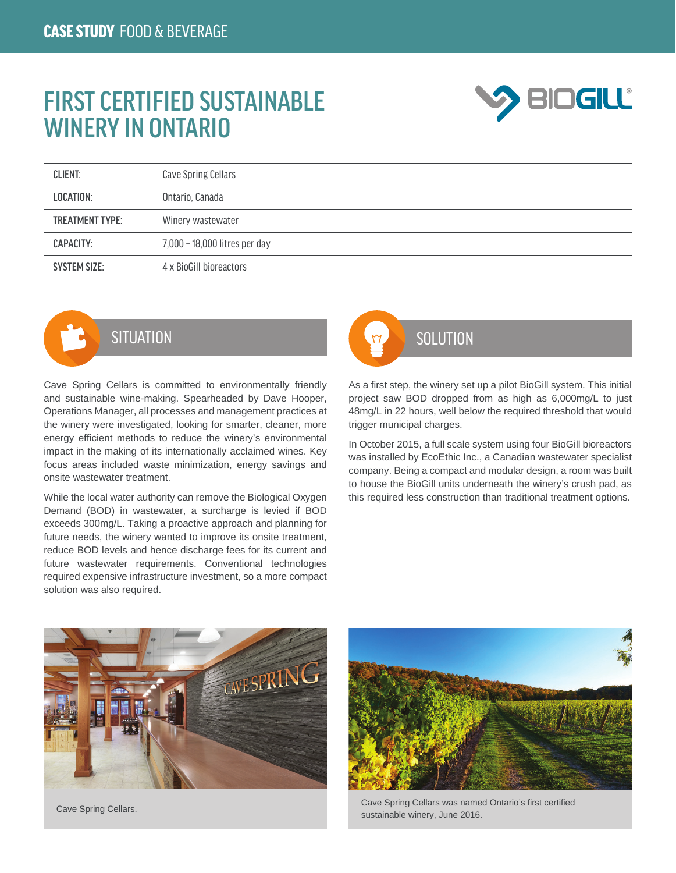## FIRST CERTIFIED SUSTAINABLE WINERY IN ONTARIO



| <b>CLIENT:</b>         | Cave Spring Cellars           |
|------------------------|-------------------------------|
| LOCATION:              | Ontario, Canada               |
| <b>TREATMENT TYPE:</b> | Winery wastewater             |
| CAPACITY:              | 7,000 - 18,000 litres per day |
| <b>SYSTEM SIZE:</b>    | 4 x BioGill bioreactors       |



Cave Spring Cellars is committed to environmentally friendly and sustainable wine-making. Spearheaded by Dave Hooper, Operations Manager, all processes and management practices at the winery were investigated, looking for smarter, cleaner, more energy efficient methods to reduce the winery's environmental impact in the making of its internationally acclaimed wines. Key focus areas included waste minimization, energy savings and onsite wastewater treatment.

While the local water authority can remove the Biological Oxygen Demand (BOD) in wastewater, a surcharge is levied if BOD exceeds 300mg/L. Taking a proactive approach and planning for future needs, the winery wanted to improve its onsite treatment, reduce BOD levels and hence discharge fees for its current and future wastewater requirements. Conventional technologies required expensive infrastructure investment, so a more compact solution was also required.



As a first step, the winery set up a pilot BioGill system. This initial project saw BOD dropped from as high as 6,000mg/L to just 48mg/L in 22 hours, well below the required threshold that would trigger municipal charges.

In October 2015, a full scale system using four BioGill bioreactors was installed by EcoEthic Inc., a Canadian wastewater specialist company. Being a compact and modular design, a room was built to house the BioGill units underneath the winery's crush pad, as this required less construction than traditional treatment options.





Cave Spring Cellars. Cave Spring Cellars was named Ontario's first certified sustainable winery, June 2016.